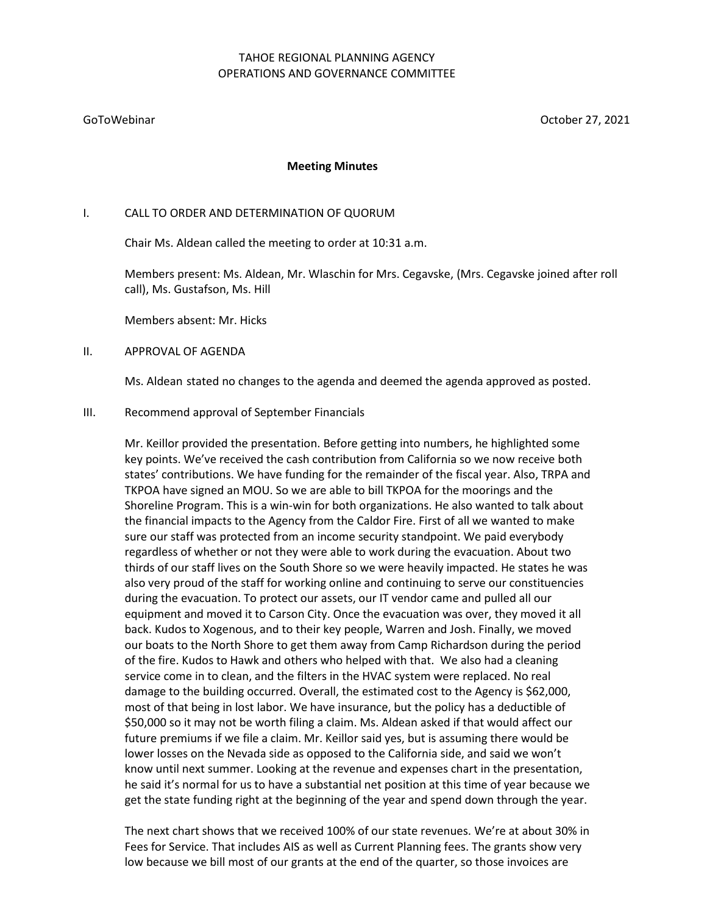# TAHOE REGIONAL PLANNING AGENCY OPERATIONS AND GOVERNANCE COMMITTEE

GoToWebinar October 27, 2021

#### **Meeting Minutes**

## I. CALL TO ORDER AND DETERMINATION OF QUORUM

Chair Ms. Aldean called the meeting to order at 10:31 a.m.

Members present: Ms. Aldean, Mr. Wlaschin for Mrs. Cegavske, (Mrs. Cegavske joined after roll call), Ms. Gustafson, Ms. Hill

Members absent: Mr. Hicks

#### II. APPROVAL OF AGENDA

Ms. Aldean stated no changes to the agenda and deemed the agenda approved as posted.

#### III. Recommend approval of September Financials

Mr. Keillor provided the presentation. Before getting into numbers, he highlighted some key points. We've received the cash contribution from California so we now receive both states' contributions. We have funding for the remainder of the fiscal year. Also, TRPA and TKPOA have signed an MOU. So we are able to bill TKPOA for the moorings and the Shoreline Program. This is a win-win for both organizations. He also wanted to talk about the financial impacts to the Agency from the Caldor Fire. First of all we wanted to make sure our staff was protected from an income security standpoint. We paid everybody regardless of whether or not they were able to work during the evacuation. About two thirds of our staff lives on the South Shore so we were heavily impacted. He states he was also very proud of the staff for working online and continuing to serve our constituencies during the evacuation. To protect our assets, our IT vendor came and pulled all our equipment and moved it to Carson City. Once the evacuation was over, they moved it all back. Kudos to Xogenous, and to their key people, Warren and Josh. Finally, we moved our boats to the North Shore to get them away from Camp Richardson during the period of the fire. Kudos to Hawk and others who helped with that. We also had a cleaning service come in to clean, and the filters in the HVAC system were replaced. No real damage to the building occurred. Overall, the estimated cost to the Agency is \$62,000, most of that being in lost labor. We have insurance, but the policy has a deductible of \$50,000 so it may not be worth filing a claim. Ms. Aldean asked if that would affect our future premiums if we file a claim. Mr. Keillor said yes, but is assuming there would be lower losses on the Nevada side as opposed to the California side, and said we won't know until next summer. Looking at the revenue and expenses chart in the presentation, he said it's normal for us to have a substantial net position at this time of year because we get the state funding right at the beginning of the year and spend down through the year.

The next chart shows that we received 100% of our state revenues. We're at about 30% in Fees for Service. That includes AIS as well as Current Planning fees. The grants show very low because we bill most of our grants at the end of the quarter, so those invoices are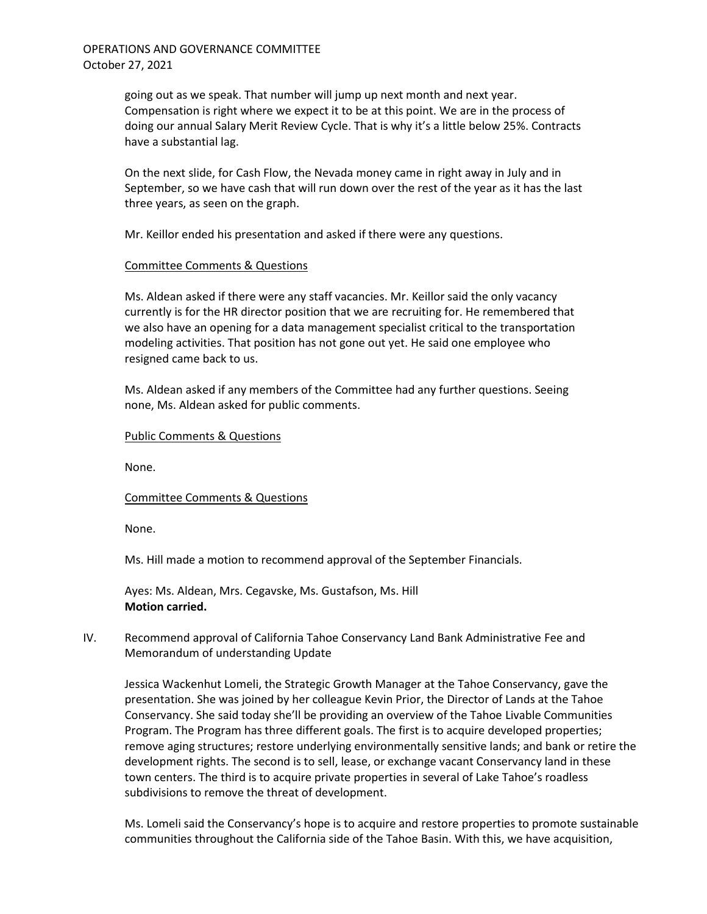going out as we speak. That number will jump up next month and next year. Compensation is right where we expect it to be at this point. We are in the process of doing our annual Salary Merit Review Cycle. That is why it's a little below 25%. Contracts have a substantial lag.

On the next slide, for Cash Flow, the Nevada money came in right away in July and in September, so we have cash that will run down over the rest of the year as it has the last three years, as seen on the graph.

Mr. Keillor ended his presentation and asked if there were any questions.

## Committee Comments & Questions

Ms. Aldean asked if there were any staff vacancies. Mr. Keillor said the only vacancy currently is for the HR director position that we are recruiting for. He remembered that we also have an opening for a data management specialist critical to the transportation modeling activities. That position has not gone out yet. He said one employee who resigned came back to us.

Ms. Aldean asked if any members of the Committee had any further questions. Seeing none, Ms. Aldean asked for public comments.

## Public Comments & Questions

None.

## Committee Comments & Questions

None.

Ms. Hill made a motion to recommend approval of the September Financials.

Ayes: Ms. Aldean, Mrs. Cegavske, Ms. Gustafson, Ms. Hill **Motion carried.**

IV. Recommend approval of California Tahoe Conservancy Land Bank Administrative Fee and Memorandum of understanding Update

Jessica Wackenhut Lomeli, the Strategic Growth Manager at the Tahoe Conservancy, gave the presentation. She was joined by her colleague Kevin Prior, the Director of Lands at the Tahoe Conservancy. She said today she'll be providing an overview of the Tahoe Livable Communities Program. The Program has three different goals. The first is to acquire developed properties; remove aging structures; restore underlying environmentally sensitive lands; and bank or retire the development rights. The second is to sell, lease, or exchange vacant Conservancy land in these town centers. The third is to acquire private properties in several of Lake Tahoe's roadless subdivisions to remove the threat of development.

Ms. Lomeli said the Conservancy's hope is to acquire and restore properties to promote sustainable communities throughout the California side of the Tahoe Basin. With this, we have acquisition,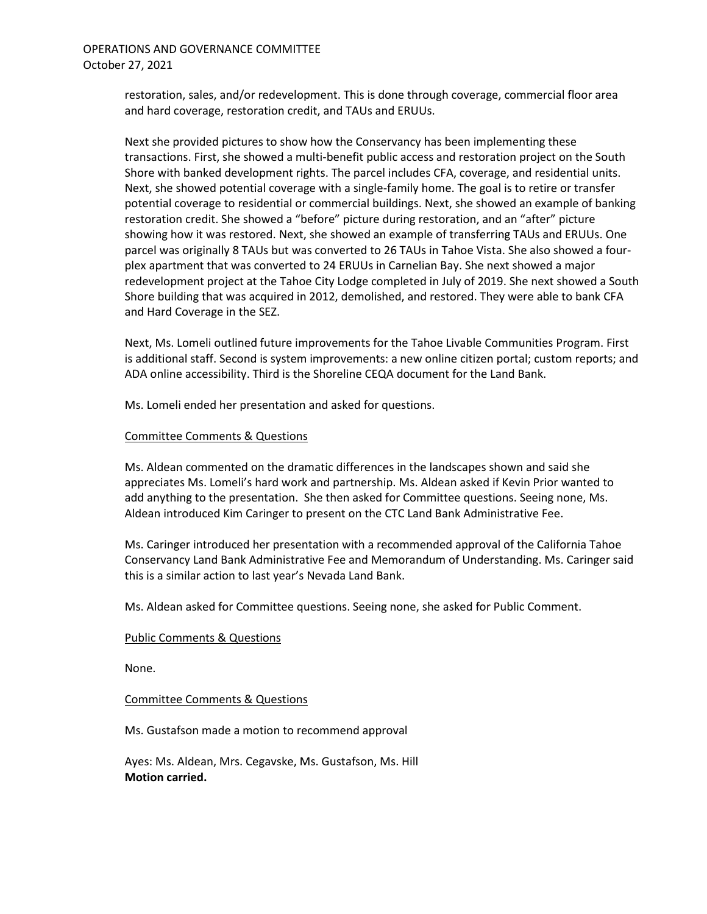restoration, sales, and/or redevelopment. This is done through coverage, commercial floor area and hard coverage, restoration credit, and TAUs and ERUUs.

Next she provided pictures to show how the Conservancy has been implementing these transactions. First, she showed a multi-benefit public access and restoration project on the South Shore with banked development rights. The parcel includes CFA, coverage, and residential units. Next, she showed potential coverage with a single-family home. The goal is to retire or transfer potential coverage to residential or commercial buildings. Next, she showed an example of banking restoration credit. She showed a "before" picture during restoration, and an "after" picture showing how it was restored. Next, she showed an example of transferring TAUs and ERUUs. One parcel was originally 8 TAUs but was converted to 26 TAUs in Tahoe Vista. She also showed a fourplex apartment that was converted to 24 ERUUs in Carnelian Bay. She next showed a major redevelopment project at the Tahoe City Lodge completed in July of 2019. She next showed a South Shore building that was acquired in 2012, demolished, and restored. They were able to bank CFA and Hard Coverage in the SEZ.

Next, Ms. Lomeli outlined future improvements for the Tahoe Livable Communities Program. First is additional staff. Second is system improvements: a new online citizen portal; custom reports; and ADA online accessibility. Third is the Shoreline CEQA document for the Land Bank.

Ms. Lomeli ended her presentation and asked for questions.

## Committee Comments & Questions

Ms. Aldean commented on the dramatic differences in the landscapes shown and said she appreciates Ms. Lomeli's hard work and partnership. Ms. Aldean asked if Kevin Prior wanted to add anything to the presentation. She then asked for Committee questions. Seeing none, Ms. Aldean introduced Kim Caringer to present on the CTC Land Bank Administrative Fee.

Ms. Caringer introduced her presentation with a recommended approval of the California Tahoe Conservancy Land Bank Administrative Fee and Memorandum of Understanding. Ms. Caringer said this is a similar action to last year's Nevada Land Bank.

Ms. Aldean asked for Committee questions. Seeing none, she asked for Public Comment.

#### Public Comments & Questions

None.

#### Committee Comments & Questions

Ms. Gustafson made a motion to recommend approval

Ayes: Ms. Aldean, Mrs. Cegavske, Ms. Gustafson, Ms. Hill **Motion carried.**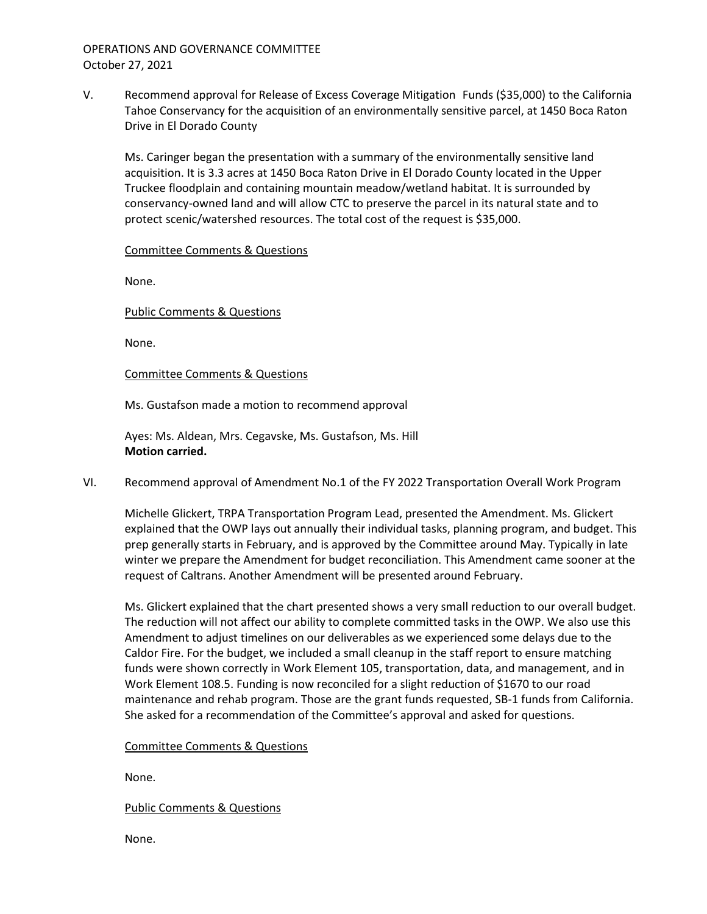OPERATIONS AND GOVERNANCE COMMITTEE October 27, 2021

V. Recommend approval for Release of Excess Coverage Mitigation Funds (\$35,000) to the California Tahoe Conservancy for the acquisition of an environmentally sensitive parcel, at 1450 Boca Raton Drive in El Dorado County

Ms. Caringer began the presentation with a summary of the environmentally sensitive land acquisition. It is 3.3 acres at 1450 Boca Raton Drive in El Dorado County located in the Upper Truckee floodplain and containing mountain meadow/wetland habitat. It is surrounded by conservancy-owned land and will allow CTC to preserve the parcel in its natural state and to protect scenic/watershed resources. The total cost of the request is \$35,000.

Committee Comments & Questions

None.

Public Comments & Questions

None.

Committee Comments & Questions

Ms. Gustafson made a motion to recommend approval

Ayes: Ms. Aldean, Mrs. Cegavske, Ms. Gustafson, Ms. Hill **Motion carried.**

VI. Recommend approval of Amendment No.1 of the FY 2022 Transportation Overall Work Program

Michelle Glickert, TRPA Transportation Program Lead, presented the Amendment. Ms. Glickert explained that the OWP lays out annually their individual tasks, planning program, and budget. This prep generally starts in February, and is approved by the Committee around May. Typically in late winter we prepare the Amendment for budget reconciliation. This Amendment came sooner at the request of Caltrans. Another Amendment will be presented around February.

Ms. Glickert explained that the chart presented shows a very small reduction to our overall budget. The reduction will not affect our ability to complete committed tasks in the OWP. We also use this Amendment to adjust timelines on our deliverables as we experienced some delays due to the Caldor Fire. For the budget, we included a small cleanup in the staff report to ensure matching funds were shown correctly in Work Element 105, transportation, data, and management, and in Work Element 108.5. Funding is now reconciled for a slight reduction of \$1670 to our road maintenance and rehab program. Those are the grant funds requested, SB-1 funds from California. She asked for a recommendation of the Committee's approval and asked for questions.

Committee Comments & Questions

None.

Public Comments & Questions

None.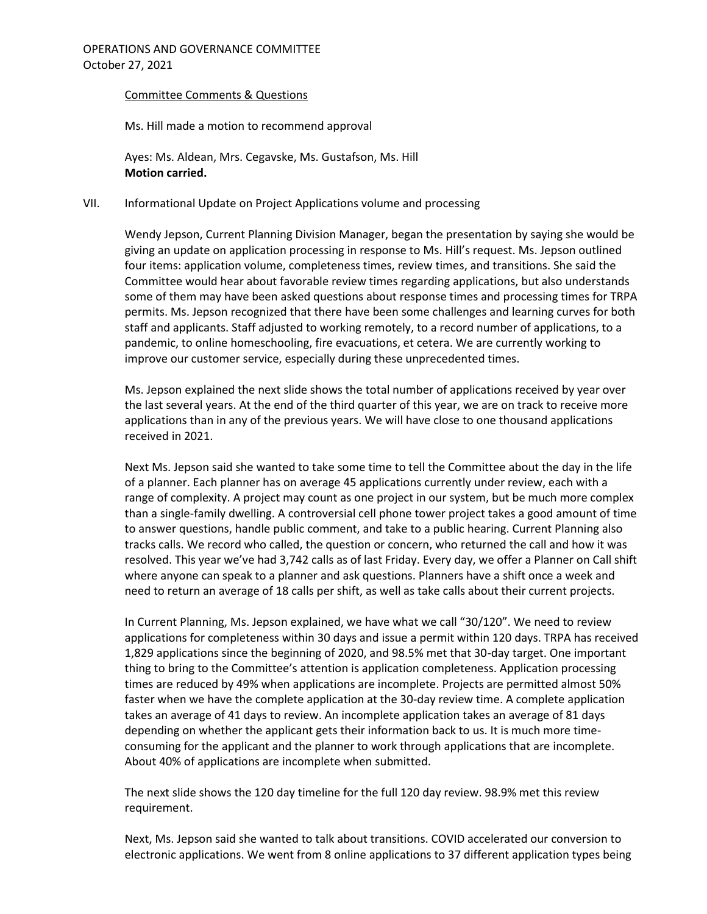#### Committee Comments & Questions

Ms. Hill made a motion to recommend approval

Ayes: Ms. Aldean, Mrs. Cegavske, Ms. Gustafson, Ms. Hill **Motion carried.**

## VII. Informational Update on Project Applications volume and processing

Wendy Jepson, Current Planning Division Manager, began the presentation by saying she would be giving an update on application processing in response to Ms. Hill's request. Ms. Jepson outlined four items: application volume, completeness times, review times, and transitions. She said the Committee would hear about favorable review times regarding applications, but also understands some of them may have been asked questions about response times and processing times for TRPA permits. Ms. Jepson recognized that there have been some challenges and learning curves for both staff and applicants. Staff adjusted to working remotely, to a record number of applications, to a pandemic, to online homeschooling, fire evacuations, et cetera. We are currently working to improve our customer service, especially during these unprecedented times.

Ms. Jepson explained the next slide shows the total number of applications received by year over the last several years. At the end of the third quarter of this year, we are on track to receive more applications than in any of the previous years. We will have close to one thousand applications received in 2021.

Next Ms. Jepson said she wanted to take some time to tell the Committee about the day in the life of a planner. Each planner has on average 45 applications currently under review, each with a range of complexity. A project may count as one project in our system, but be much more complex than a single-family dwelling. A controversial cell phone tower project takes a good amount of time to answer questions, handle public comment, and take to a public hearing. Current Planning also tracks calls. We record who called, the question or concern, who returned the call and how it was resolved. This year we've had 3,742 calls as of last Friday. Every day, we offer a Planner on Call shift where anyone can speak to a planner and ask questions. Planners have a shift once a week and need to return an average of 18 calls per shift, as well as take calls about their current projects.

In Current Planning, Ms. Jepson explained, we have what we call "30/120". We need to review applications for completeness within 30 days and issue a permit within 120 days. TRPA has received 1,829 applications since the beginning of 2020, and 98.5% met that 30-day target. One important thing to bring to the Committee's attention is application completeness. Application processing times are reduced by 49% when applications are incomplete. Projects are permitted almost 50% faster when we have the complete application at the 30-day review time. A complete application takes an average of 41 days to review. An incomplete application takes an average of 81 days depending on whether the applicant gets their information back to us. It is much more timeconsuming for the applicant and the planner to work through applications that are incomplete. About 40% of applications are incomplete when submitted.

The next slide shows the 120 day timeline for the full 120 day review. 98.9% met this review requirement.

Next, Ms. Jepson said she wanted to talk about transitions. COVID accelerated our conversion to electronic applications. We went from 8 online applications to 37 different application types being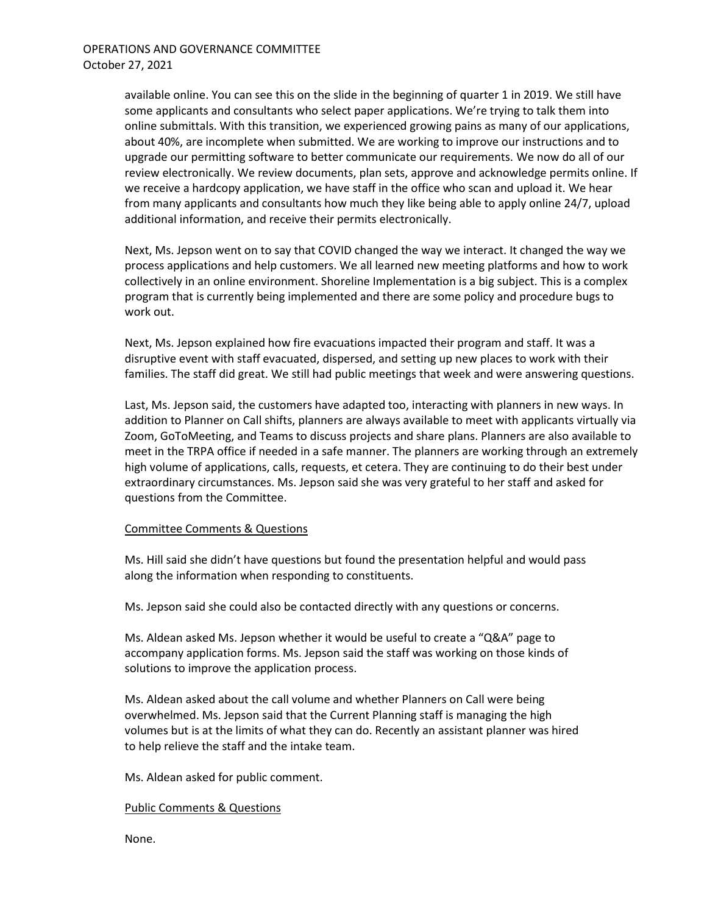available online. You can see this on the slide in the beginning of quarter 1 in 2019. We still have some applicants and consultants who select paper applications. We're trying to talk them into online submittals. With this transition, we experienced growing pains as many of our applications, about 40%, are incomplete when submitted. We are working to improve our instructions and to upgrade our permitting software to better communicate our requirements. We now do all of our review electronically. We review documents, plan sets, approve and acknowledge permits online. If we receive a hardcopy application, we have staff in the office who scan and upload it. We hear from many applicants and consultants how much they like being able to apply online 24/7, upload additional information, and receive their permits electronically.

Next, Ms. Jepson went on to say that COVID changed the way we interact. It changed the way we process applications and help customers. We all learned new meeting platforms and how to work collectively in an online environment. Shoreline Implementation is a big subject. This is a complex program that is currently being implemented and there are some policy and procedure bugs to work out.

Next, Ms. Jepson explained how fire evacuations impacted their program and staff. It was a disruptive event with staff evacuated, dispersed, and setting up new places to work with their families. The staff did great. We still had public meetings that week and were answering questions.

Last, Ms. Jepson said, the customers have adapted too, interacting with planners in new ways. In addition to Planner on Call shifts, planners are always available to meet with applicants virtually via Zoom, GoToMeeting, and Teams to discuss projects and share plans. Planners are also available to meet in the TRPA office if needed in a safe manner. The planners are working through an extremely high volume of applications, calls, requests, et cetera. They are continuing to do their best under extraordinary circumstances. Ms. Jepson said she was very grateful to her staff and asked for questions from the Committee.

#### Committee Comments & Questions

Ms. Hill said she didn't have questions but found the presentation helpful and would pass along the information when responding to constituents.

Ms. Jepson said she could also be contacted directly with any questions or concerns.

Ms. Aldean asked Ms. Jepson whether it would be useful to create a "Q&A" page to accompany application forms. Ms. Jepson said the staff was working on those kinds of solutions to improve the application process.

Ms. Aldean asked about the call volume and whether Planners on Call were being overwhelmed. Ms. Jepson said that the Current Planning staff is managing the high volumes but is at the limits of what they can do. Recently an assistant planner was hired to help relieve the staff and the intake team.

Ms. Aldean asked for public comment.

#### Public Comments & Questions

None.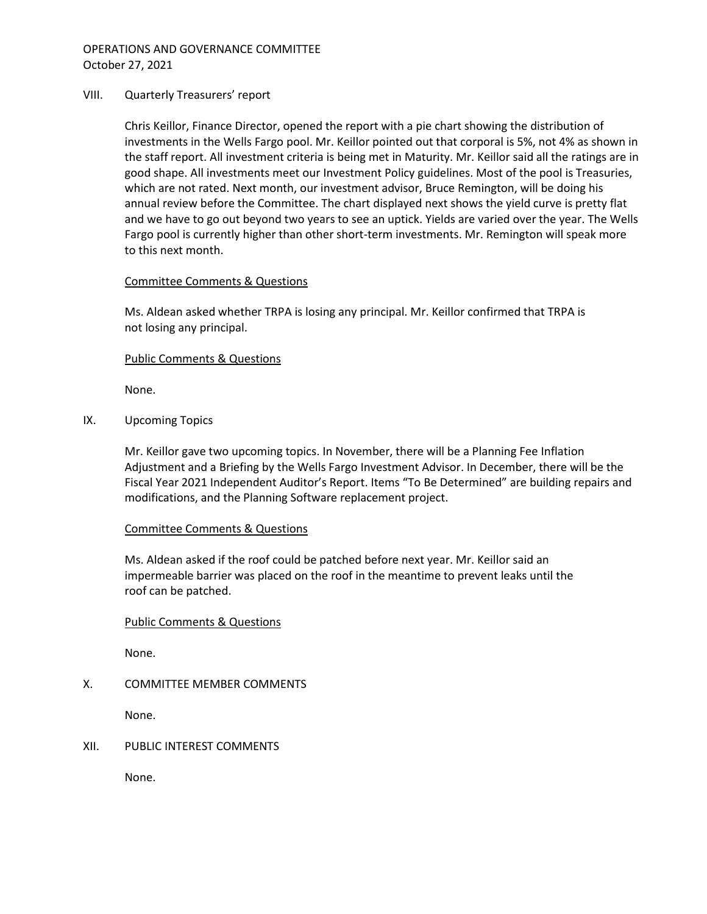#### VIII. Quarterly Treasurers' report

Chris Keillor, Finance Director, opened the report with a pie chart showing the distribution of investments in the Wells Fargo pool. Mr. Keillor pointed out that corporal is 5%, not 4% as shown in the staff report. All investment criteria is being met in Maturity. Mr. Keillor said all the ratings are in good shape. All investments meet our Investment Policy guidelines. Most of the pool is Treasuries, which are not rated. Next month, our investment advisor, Bruce Remington, will be doing his annual review before the Committee. The chart displayed next shows the yield curve is pretty flat and we have to go out beyond two years to see an uptick. Yields are varied over the year. The Wells Fargo pool is currently higher than other short-term investments. Mr. Remington will speak more to this next month.

## Committee Comments & Questions

Ms. Aldean asked whether TRPA is losing any principal. Mr. Keillor confirmed that TRPA is not losing any principal.

## Public Comments & Questions

None.

IX. Upcoming Topics

Mr. Keillor gave two upcoming topics. In November, there will be a Planning Fee Inflation Adjustment and a Briefing by the Wells Fargo Investment Advisor. In December, there will be the Fiscal Year 2021 Independent Auditor's Report. Items "To Be Determined" are building repairs and modifications, and the Planning Software replacement project.

#### Committee Comments & Questions

Ms. Aldean asked if the roof could be patched before next year. Mr. Keillor said an impermeable barrier was placed on the roof in the meantime to prevent leaks until the roof can be patched.

## Public Comments & Questions

None.

## X. COMMITTEE MEMBER COMMENTS

None.

## XII. PUBLIC INTEREST COMMENTS

None.